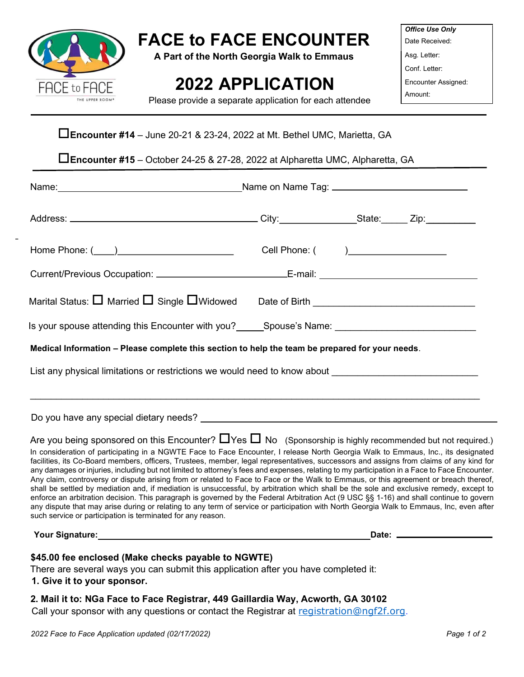

# FACE to FACE ENCOUNTER

A Part of the North Georgia Walk to Emmaus

# 2022 APPLICATION

Office Use Only Date Received:

Asg. Letter:

Conf. Letter:

Encounter Assigned:

Amount:

Please provide a separate application for each attendee

### Encounter #14 – June 20-21 & 23-24, 2022 at Mt. Bethel UMC, Marietta, GA

Encounter #15 – October 24-25 & 27-28, 2022 at Alpharetta UMC, Alpharetta, GA

| Name: <u>Name:</u> 2008. [2013] Name on Name Tag: 2014. [2013] Name: 2014. [2013] Name on Name Tag: 2014. [2014] 2014. [2014] Name on Name Tag: 2014. [2014] 2014. [2014] 2014. [2014] 2014. [2014] 2014. [2014] 2014. [2014] 2014.                                                                                                                                                                                                                                                                                                                                                                                                                                                                                                                                                                                                                                                                                                                                                                                                                                                                                                                                                              |                                       |  |  |  |
|--------------------------------------------------------------------------------------------------------------------------------------------------------------------------------------------------------------------------------------------------------------------------------------------------------------------------------------------------------------------------------------------------------------------------------------------------------------------------------------------------------------------------------------------------------------------------------------------------------------------------------------------------------------------------------------------------------------------------------------------------------------------------------------------------------------------------------------------------------------------------------------------------------------------------------------------------------------------------------------------------------------------------------------------------------------------------------------------------------------------------------------------------------------------------------------------------|---------------------------------------|--|--|--|
|                                                                                                                                                                                                                                                                                                                                                                                                                                                                                                                                                                                                                                                                                                                                                                                                                                                                                                                                                                                                                                                                                                                                                                                                  |                                       |  |  |  |
|                                                                                                                                                                                                                                                                                                                                                                                                                                                                                                                                                                                                                                                                                                                                                                                                                                                                                                                                                                                                                                                                                                                                                                                                  | Cell Phone: ( ) _____________________ |  |  |  |
| Current/Previous Occupation: ______________________________E-mail: _________________________________                                                                                                                                                                                                                                                                                                                                                                                                                                                                                                                                                                                                                                                                                                                                                                                                                                                                                                                                                                                                                                                                                             |                                       |  |  |  |
| Marital Status: $\Box$ Married $\Box$ Single $\Box$ Widowed Date of Birth $\Box$ Date $\Box$ Date of Birth $\Box$ Date $\Box$                                                                                                                                                                                                                                                                                                                                                                                                                                                                                                                                                                                                                                                                                                                                                                                                                                                                                                                                                                                                                                                                    |                                       |  |  |  |
| Is your spouse attending this Encounter with you? Spouse's Name: Spouse's Name:                                                                                                                                                                                                                                                                                                                                                                                                                                                                                                                                                                                                                                                                                                                                                                                                                                                                                                                                                                                                                                                                                                                  |                                       |  |  |  |
| Medical Information - Please complete this section to help the team be prepared for your needs.                                                                                                                                                                                                                                                                                                                                                                                                                                                                                                                                                                                                                                                                                                                                                                                                                                                                                                                                                                                                                                                                                                  |                                       |  |  |  |
| List any physical limitations or restrictions we would need to know about __________________________                                                                                                                                                                                                                                                                                                                                                                                                                                                                                                                                                                                                                                                                                                                                                                                                                                                                                                                                                                                                                                                                                             |                                       |  |  |  |
| Do you have any special dietary needs? Letter and the state of the state of the state of the state of the state of the state of the state of the state of the state of the state of the state of the state of the state of the                                                                                                                                                                                                                                                                                                                                                                                                                                                                                                                                                                                                                                                                                                                                                                                                                                                                                                                                                                   |                                       |  |  |  |
| Are you being sponsored on this Encounter? $\Box$ Yes $\Box$ No (Sponsorship is highly recommended but not required.)<br>In consideration of participating in a NGWTE Face to Face Encounter, I release North Georgia Walk to Emmaus, Inc., its designated<br>facilities, its Co-Board members, officers, Trustees, member, legal representatives, successors and assigns from claims of any kind for<br>any damages or injuries, including but not limited to attorney's fees and expenses, relating to my participation in a Face to Face Encounter.<br>Any claim, controversy or dispute arising from or related to Face to Face or the Walk to Emmaus, or this agreement or breach thereof,<br>shall be settled by mediation and, if mediation is unsuccessful, by arbitration which shall be the sole and exclusive remedy, except to<br>enforce an arbitration decision. This paragraph is governed by the Federal Arbitration Act (9 USC §§ 1-16) and shall continue to govern<br>any dispute that may arise during or relating to any term of service or participation with North Georgia Walk to Emmaus, Inc, even after<br>such service or participation is terminated for any reason. |                                       |  |  |  |
| <b>Your Signature:</b> the contract of the contract of the contract of the contract of the contract of the contract of the contract of the contract of the contract of the contract of the contract of the contract of the contract                                                                                                                                                                                                                                                                                                                                                                                                                                                                                                                                                                                                                                                                                                                                                                                                                                                                                                                                                              |                                       |  |  |  |

#### \$45.00 fee enclosed (Make checks payable to NGWTE)

There are several ways you can submit this application after you have completed it:

#### 1. Give it to your sponsor.

#### 2. Mail it to: NGa Face to Face Registrar, 449 Gaillardia Way, Acworth, GA 30102

Call your sponsor with any questions or contact the Registrar at registration@ngf2f.org.